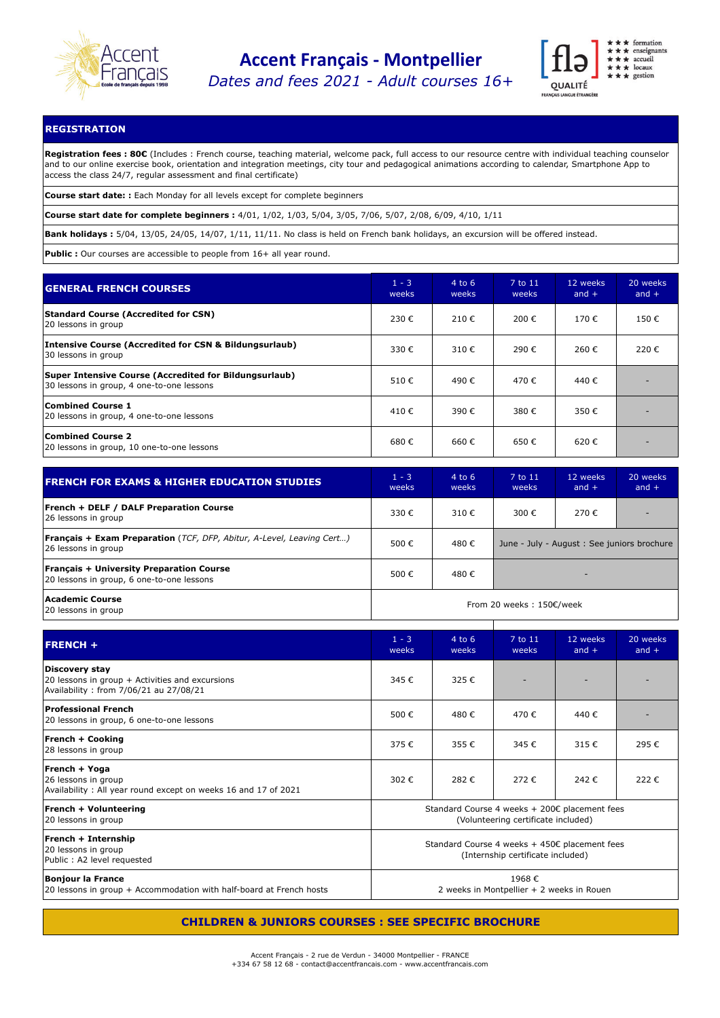

*Dates and fees 2021 - Adult courses 16+*



## **REGISTRATION**

**Registration fees : 80€** (Includes : French course, teaching material, welcome pack, full access to our resource centre with individual teaching counselor and to our online exercise book, orientation and integration meetings, city tour and pedagogical animations according to calendar, Smartphone App to access the class 24/7, regular assessment and final certificate)

**Course start date: :** Each Monday for all levels except for complete beginners

**Course start date for complete beginners :** 4/01, 1/02, 1/03, 5/04, 3/05, 7/06, 5/07, 2/08, 6/09, 4/10, 1/11

**Bank holidays :** 5/04, 13/05, 24/05, 14/07, 1/11, 11/11. No class is held on French bank holidays, an excursion will be offered instead.

**Public :** Our courses are accessible to people from 16+ all year round.

| <b>GENERAL FRENCH COURSES</b>                                                                       | $1 - 3$<br>weeks | $4$ to 6<br>weeks | 7 to 11<br>weeks | 12 weeks<br>and $+$ | 20 weeks<br>and $+$ |
|-----------------------------------------------------------------------------------------------------|------------------|-------------------|------------------|---------------------|---------------------|
| <b>Standard Course (Accredited for CSN)</b><br>20 lessons in group                                  | 230€             | 210€              | 200€             | 170€                | 150€                |
| Intensive Course (Accredited for CSN & Bildungsurlaub)<br>30 lessons in group                       | 330 €            | 310 $\epsilon$    | 290€             | 260€                | 220€                |
| Super Intensive Course (Accredited for Bildungsurlaub)<br>30 lessons in group, 4 one-to-one lessons | 510€             | 490€              | 470€             | 440 €               |                     |
| Combined Course 1<br>20 lessons in group, 4 one-to-one lessons                                      | 410€             | 390€              | 380€             | 350€                |                     |
| <b>Combined Course 2</b><br>20 lessons in group, 10 one-to-one lessons                              | 680€             | 660€              | 650€             | 620€                |                     |

| <b>FRENCH FOR EXAMS &amp; HIGHER EDUCATION STUDIES</b>                                              | $1 - 3$<br>weeks         | $4$ to 6<br>weeks | 7 to 11<br>weeks                            | 12 weeks<br>and $+$ | 20 weeks<br>and $+$ |
|-----------------------------------------------------------------------------------------------------|--------------------------|-------------------|---------------------------------------------|---------------------|---------------------|
| <b>French + DELF / DALF Preparation Course</b><br>26 lessons in group                               | 330€                     | 310 $\epsilon$    | 300€                                        | 270€                |                     |
| <b>Français + Exam Preparation</b> (TCF, DFP, Abitur, A-Level, Leaving Cert)<br>26 lessons in group | 500 $\epsilon$           | 480 €             | June - July - August : See juniors brochure |                     |                     |
| <b>Français + University Preparation Course</b><br>20 lessons in group, 6 one-to-one lessons        | 500€                     | 480€              |                                             |                     |                     |
| Academic Course<br>20 lessons in group                                                              | From 20 weeks: 150€/week |                   |                                             |                     |                     |

| <b>FRENCH +</b>                                                                                             | $1 - 3$<br>weeks                                                                     | $4$ to 6<br>weeks | 7 to 11<br>weeks | 12 weeks<br>and $+$ | 20 weeks<br>and $+$ |
|-------------------------------------------------------------------------------------------------------------|--------------------------------------------------------------------------------------|-------------------|------------------|---------------------|---------------------|
| Discovery stay<br>20 lessons in group + Activities and excursions<br>Availability: from 7/06/21 au 27/08/21 | 345€                                                                                 | 325€              |                  |                     |                     |
| Professional French<br>20 lessons in group, 6 one-to-one lessons                                            | 500€                                                                                 | 480€              | 470€             | 440€                |                     |
| <b>French + Cooking</b><br>28 lessons in group                                                              | 375€                                                                                 | 355€              | 345€             | 315€                | 295€                |
| French + Yoga<br>26 lessons in group<br>Availability: All year round except on weeks 16 and 17 of 2021      | 302€                                                                                 | 282€              | 272€             | 242€                | 222€                |
| <b>French + Volunteering</b><br>20 lessons in group                                                         | Standard Course 4 weeks + 200€ placement fees<br>(Volunteering certificate included) |                   |                  |                     |                     |
| French + Internship<br>20 lessons in group<br>Public: A2 level requested                                    | Standard Course 4 weeks + 450€ placement fees<br>(Internship certificate included)   |                   |                  |                     |                     |
| Bonjour la France<br>20 lessons in group + Accommodation with half-board at French hosts                    | 1968€<br>2 weeks in Montpellier + 2 weeks in Rouen                                   |                   |                  |                     |                     |

## **CHILDREN & JUNIORS COURSES : SEE SPECIFIC BROCHURE**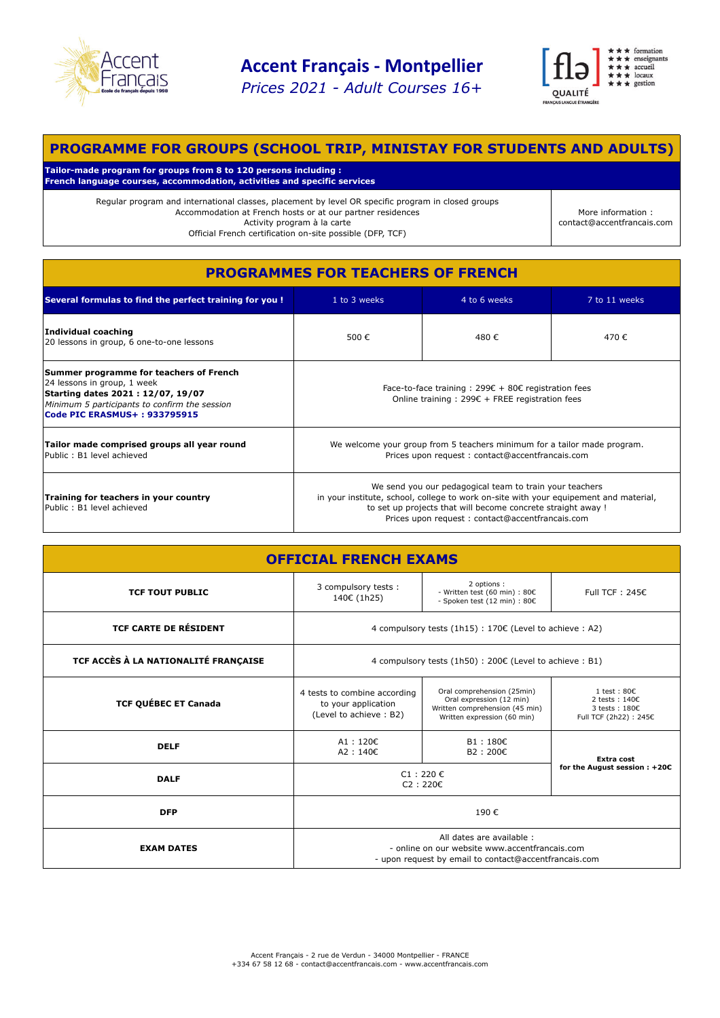

*Prices 2021 - Adult Courses 16+*



# **PROGRAMME FOR GROUPS (SCHOOL TRIP, MINISTAY FOR STUDENTS AND ADULTS)**

**Tailor-made program for groups from 8 to 120 persons including : French language courses, accommodation, activities and specific services**

> Regular program and international classes, placement by level OR specific program in closed groups Accommodation at French hosts or at our partner residences Activity program à la carte Official French certification on-site possible (DFP, TCF)

More information : contact@accentfrancais.com

| <b>PROGRAMMES FOR TEACHERS OF FRENCH</b>                                                                                                                                                     |                                                                                                                                                                                                                                                                     |              |               |  |  |  |
|----------------------------------------------------------------------------------------------------------------------------------------------------------------------------------------------|---------------------------------------------------------------------------------------------------------------------------------------------------------------------------------------------------------------------------------------------------------------------|--------------|---------------|--|--|--|
| Several formulas to find the perfect training for you !                                                                                                                                      | 1 to 3 weeks                                                                                                                                                                                                                                                        | 4 to 6 weeks | 7 to 11 weeks |  |  |  |
| <b>Individual coaching</b><br>20 lessons in group, 6 one-to-one lessons                                                                                                                      | 500€                                                                                                                                                                                                                                                                | 480€         | 470€          |  |  |  |
| Summer programme for teachers of French<br>24 lessons in group, 1 week<br>Starting dates 2021: 12/07, 19/07<br>Minimum 5 participants to confirm the session<br>Code PIC ERASMUS+: 933795915 | Face-to-face training : 299 $\epsilon$ + 80 $\epsilon$ registration fees<br>Online training : 299€ + FREE registration fees                                                                                                                                         |              |               |  |  |  |
| Tailor made comprised groups all year round<br>Public: B1 level achieved                                                                                                                     | We welcome your group from 5 teachers minimum for a tailor made program.<br>Prices upon request: contact@accentfrancais.com                                                                                                                                         |              |               |  |  |  |
| Training for teachers in your country<br>Public: B1 level achieved                                                                                                                           | We send you our pedagogical team to train your teachers<br>in your institute, school, college to work on-site with your equipement and material,<br>to set up projects that will become concrete straight away !<br>Prices upon request: contact@accentfrancais.com |              |               |  |  |  |

| <b>OFFICIAL FRENCH EXAMS</b>         |                                                                                                                                      |                                                                                                                         |                                                                                                         |  |  |
|--------------------------------------|--------------------------------------------------------------------------------------------------------------------------------------|-------------------------------------------------------------------------------------------------------------------------|---------------------------------------------------------------------------------------------------------|--|--|
| <b>TCF TOUT PUBLIC</b>               | 3 compulsory tests:<br>140€ (1h25)                                                                                                   | 2 options:<br>- Written test (60 min) : 80€<br>- Spoken test (12 min) : 80€                                             | Full TCF: $245C$                                                                                        |  |  |
| <b>TCF CARTE DE RÉSIDENT</b>         | 4 compulsory tests (1h15) : 170€ (Level to achieve : A2)                                                                             |                                                                                                                         |                                                                                                         |  |  |
| TCF ACCÈS À LA NATIONALITÉ FRANÇAISE | 4 compulsory tests (1h50) : 200€ (Level to achieve : B1)                                                                             |                                                                                                                         |                                                                                                         |  |  |
| <b>TCF QUÉBEC ET Canada</b>          | 4 tests to combine according<br>to your application<br>(Level to achieve: B2)                                                        | Oral comprehension (25min)<br>Oral expression (12 min)<br>Written comprehension (45 min)<br>Written expression (60 min) | $1 \text{ test} : 80 \in$<br>2 tests: $140$ $\varepsilon$<br>$3$ tests: $1802$<br>Full TCF (2h22): 245€ |  |  |
| <b>DELF</b>                          | A1: $120 \epsilon$<br>A2: 140€                                                                                                       | $B1:180 \epsilon$<br>B2 : 200€                                                                                          | Extra cost                                                                                              |  |  |
| <b>DALF</b>                          | for the August session: +20€<br>$C1:220 \in$<br>C2:220E                                                                              |                                                                                                                         |                                                                                                         |  |  |
| <b>DFP</b>                           | 190€                                                                                                                                 |                                                                                                                         |                                                                                                         |  |  |
| <b>EXAM DATES</b>                    | All dates are available :<br>- online on our website www.accentfrancais.com<br>- upon request by email to contact@accentfrancais.com |                                                                                                                         |                                                                                                         |  |  |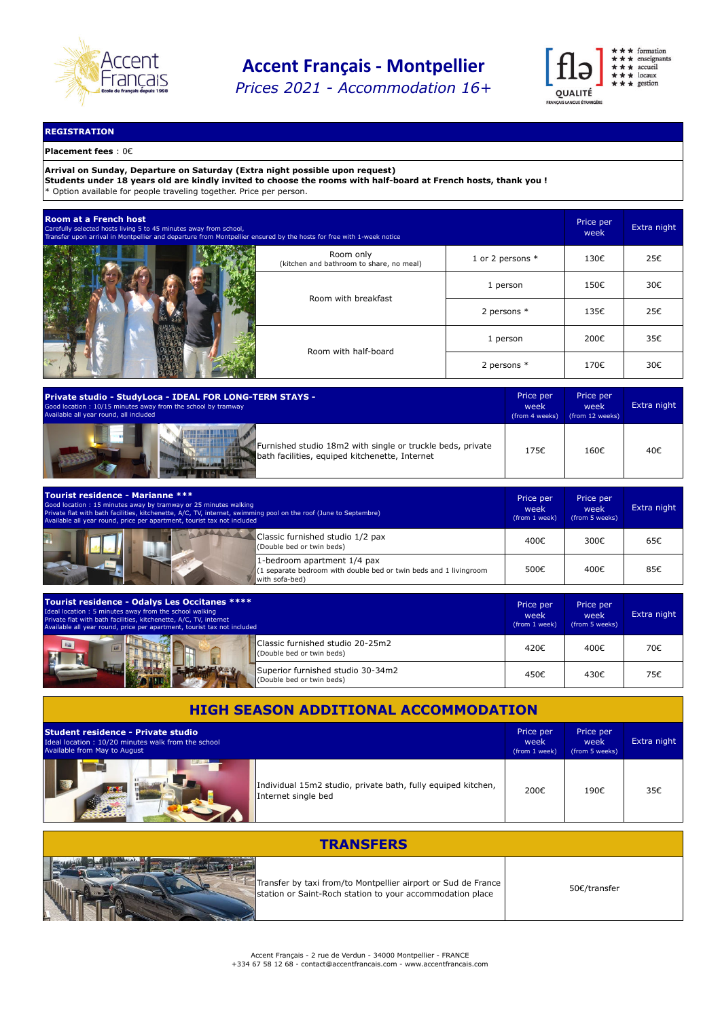

*Prices 2021 - Accommodation 16+*



## **REGISTRATION**

## **Placement fees** : 0€

**Arrival on Sunday, Departure on Saturday (Extra night possible upon request)**

**Students under 18 years old are kindly invited to choose the rooms with half-board at French hosts, thank you !** \* Option available for people traveling together. Price per person.

| <b>Room at a French host</b><br>Carefully selected hosts living 5 to 45 minutes away from school,<br>Transfer upon arrival in Montpellier and departure from Montpellier ensured by the hosts for free with 1-week notice |                                                       |                  |      | Extra night |
|---------------------------------------------------------------------------------------------------------------------------------------------------------------------------------------------------------------------------|-------------------------------------------------------|------------------|------|-------------|
|                                                                                                                                                                                                                           | Room only<br>(kitchen and bathroom to share, no meal) | 1 or 2 persons * | 130€ | 25€         |
|                                                                                                                                                                                                                           | Room with breakfast                                   | 1 person         | 150€ | 30€         |
|                                                                                                                                                                                                                           |                                                       | 2 persons $*$    | 135€ | 25€         |
| Room with half-board                                                                                                                                                                                                      |                                                       | 1 person         | 200€ | 35€         |
|                                                                                                                                                                                                                           |                                                       | 2 persons $*$    | 170€ | 30€         |

| Private studio - StudyLoca - IDEAL FOR LONG-TERM STAYS -                                                     | Price per      | Price per       | Extra night |
|--------------------------------------------------------------------------------------------------------------|----------------|-----------------|-------------|
| Good location: 10/15 minutes away from the school by tramway                                                 | week           | week            |             |
| Available all year round, all included                                                                       | (from 4 weeks) | (from 12 weeks) |             |
| Furnished studio 18m2 with single or truckle beds, private<br>bath facilities, equiped kitchenette, Internet | 175€           | 160€            | 40€         |

| <b>Tourist residence - Marianne ***</b><br>Good location: 15 minutes away by tramway or 25 minutes walking<br>Private flat with bath facilities, kitchenette, A/C, TV, internet, swimming pool on the roof (June to Septembre)<br>Available all year round, price per apartment, tourist tax not included |      | Price per<br>week<br>(from 5 weeks) | Extra night |
|-----------------------------------------------------------------------------------------------------------------------------------------------------------------------------------------------------------------------------------------------------------------------------------------------------------|------|-------------------------------------|-------------|
| Classic furnished studio 1/2 pax<br>(Double bed or twin beds)                                                                                                                                                                                                                                             | 400€ | 300€                                | 65€         |
| 1-bedroom apartment 1/4 pax<br>(1 separate bedroom with double bed or twin beds and 1 livingroom<br>with sofa-bed)                                                                                                                                                                                        | 500€ | 400€                                | 85€         |

| Tourist residence - Odalys Les Occitanes ****<br>Ideal location: 5 minutes away from the school walking<br>Private flat with bath facilities, kitchenette, A/C, TV, internet<br>Available all year round, price per apartment, tourist tax not included | Price per<br>week<br>(from 1 week) | Price per<br>week<br>(from 5 weeks) | Extra night |
|---------------------------------------------------------------------------------------------------------------------------------------------------------------------------------------------------------------------------------------------------------|------------------------------------|-------------------------------------|-------------|
| Classic furnished studio 20-25m2<br>(Double bed or twin beds)                                                                                                                                                                                           | 420€                               | 400€                                | 70€         |
| Superior furnished studio 30-34m2<br>(Double bed or twin beds)                                                                                                                                                                                          | 450€                               | 430€                                | 75€         |

| <b>HIGH SEASON ADDITIONAL ACCOMMODATION</b>                                                                              |                                                              |                                    |                                     |             |  |
|--------------------------------------------------------------------------------------------------------------------------|--------------------------------------------------------------|------------------------------------|-------------------------------------|-------------|--|
| Student residence - Private studio<br>Ideal location: 10/20 minutes walk from the school<br>Available from May to August |                                                              | Price per<br>week<br>(from 1 week) | Price per<br>week<br>(from 5 weeks) | Extra night |  |
| Internet single bed                                                                                                      | Individual 15m2 studio, private bath, fully equiped kitchen, | 200€                               | 190€                                | 35€         |  |

| <b>TRANSFERS</b>                                                                                                           |              |  |  |  |  |
|----------------------------------------------------------------------------------------------------------------------------|--------------|--|--|--|--|
| Transfer by taxi from/to Montpellier airport or Sud de France<br>station or Saint-Roch station to your accommodation place | 50€/transfer |  |  |  |  |